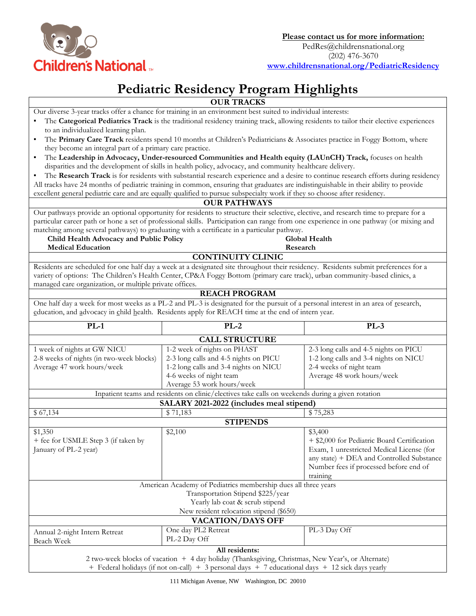

## **Pediatric Residency Program Highlights**

|                                                                                                                                                                                                                                                                                                                                                                                                                                           | <b>OUR TRACKS</b>                                                                                                                                                                                                                                                 |                                                                                                                                                                                                        |
|-------------------------------------------------------------------------------------------------------------------------------------------------------------------------------------------------------------------------------------------------------------------------------------------------------------------------------------------------------------------------------------------------------------------------------------------|-------------------------------------------------------------------------------------------------------------------------------------------------------------------------------------------------------------------------------------------------------------------|--------------------------------------------------------------------------------------------------------------------------------------------------------------------------------------------------------|
|                                                                                                                                                                                                                                                                                                                                                                                                                                           | Our diverse 3-year tracks offer a chance for training in an environment best suited to individual interests:                                                                                                                                                      |                                                                                                                                                                                                        |
| to an individualized learning plan.                                                                                                                                                                                                                                                                                                                                                                                                       | The Categorical Pediatrics Track is the traditional residency training track, allowing residents to tailor their elective experiences                                                                                                                             |                                                                                                                                                                                                        |
| The Primary Care Track residents spend 10 months at Children's Pediatricians & Associates practice in Foggy Bottom, where<br>٠                                                                                                                                                                                                                                                                                                            |                                                                                                                                                                                                                                                                   |                                                                                                                                                                                                        |
| they become an integral part of a primary care practice.                                                                                                                                                                                                                                                                                                                                                                                  |                                                                                                                                                                                                                                                                   |                                                                                                                                                                                                        |
| ٠                                                                                                                                                                                                                                                                                                                                                                                                                                         | The Leadership in Advocacy, Under-resourced Communities and Health equity (LAUnCH) Track, focuses on health                                                                                                                                                       |                                                                                                                                                                                                        |
| disparities and the development of skills in health policy, advocacy, and community healthcare delivery.                                                                                                                                                                                                                                                                                                                                  |                                                                                                                                                                                                                                                                   |                                                                                                                                                                                                        |
| The Research Track is for residents with substantial research experience and a desire to continue research efforts during residency                                                                                                                                                                                                                                                                                                       |                                                                                                                                                                                                                                                                   |                                                                                                                                                                                                        |
|                                                                                                                                                                                                                                                                                                                                                                                                                                           | All tracks have 24 months of pediatric training in common, ensuring that graduates are indistinguishable in their ability to provide                                                                                                                              |                                                                                                                                                                                                        |
|                                                                                                                                                                                                                                                                                                                                                                                                                                           | excellent general pediatric care and are equally qualified to pursue subspecialty work if they so choose after residency.                                                                                                                                         |                                                                                                                                                                                                        |
|                                                                                                                                                                                                                                                                                                                                                                                                                                           | <b>OUR PATHWAYS</b>                                                                                                                                                                                                                                               |                                                                                                                                                                                                        |
| Our pathways provide an optional opportunity for residents to structure their selective, elective, and research time to prepare for a<br>particular career path or hone a set of professional skills. Participation can range from one experience in one pathway (or mixing and<br>matching among several pathways) to graduating with a certificate in a particular pathway.<br>Global Health<br>Child Health Advocacy and Public Policy |                                                                                                                                                                                                                                                                   |                                                                                                                                                                                                        |
| <b>Medical Education</b><br>Research                                                                                                                                                                                                                                                                                                                                                                                                      |                                                                                                                                                                                                                                                                   |                                                                                                                                                                                                        |
|                                                                                                                                                                                                                                                                                                                                                                                                                                           | <b>CONTINUITY CLINIC</b>                                                                                                                                                                                                                                          |                                                                                                                                                                                                        |
| managed care organization, or multiple private offices.                                                                                                                                                                                                                                                                                                                                                                                   | Residents are scheduled for one half day a week at a designated site throughout their residency. Residents submit preferences for a<br>variety of options: The Children's Health Center, CP&A Foggy Bottom (primary care track), urban community-based clinics, a |                                                                                                                                                                                                        |
|                                                                                                                                                                                                                                                                                                                                                                                                                                           | <b>REACH PROGRAM</b>                                                                                                                                                                                                                                              |                                                                                                                                                                                                        |
|                                                                                                                                                                                                                                                                                                                                                                                                                                           | One half day a week for most weeks as a PL-2 and PL-3 is designated for the pursuit of a personal interest in an area of research,                                                                                                                                |                                                                                                                                                                                                        |
|                                                                                                                                                                                                                                                                                                                                                                                                                                           | education, and advocacy in child health. Residents apply for REACH time at the end of intern year.                                                                                                                                                                |                                                                                                                                                                                                        |
| $PL-1$                                                                                                                                                                                                                                                                                                                                                                                                                                    | $PL-2$                                                                                                                                                                                                                                                            | $PL-3$                                                                                                                                                                                                 |
| <b>CALL STRUCTURE</b>                                                                                                                                                                                                                                                                                                                                                                                                                     |                                                                                                                                                                                                                                                                   |                                                                                                                                                                                                        |
| 1 week of nights at GW NICU                                                                                                                                                                                                                                                                                                                                                                                                               | 1-2 week of nights on PHAST                                                                                                                                                                                                                                       | 2-3 long calls and 4-5 nights on PICU                                                                                                                                                                  |
| 2-8 weeks of nights (in two-week blocks)                                                                                                                                                                                                                                                                                                                                                                                                  | 2-3 long calls and 4-5 nights on PICU                                                                                                                                                                                                                             | 1-2 long calls and 3-4 nights on NICU                                                                                                                                                                  |
| Average 47 work hours/week                                                                                                                                                                                                                                                                                                                                                                                                                | 1-2 long calls and 3-4 nights on NICU                                                                                                                                                                                                                             | 2-4 weeks of night team                                                                                                                                                                                |
|                                                                                                                                                                                                                                                                                                                                                                                                                                           | 4-6 weeks of night team                                                                                                                                                                                                                                           | Average 48 work hours/week                                                                                                                                                                             |
|                                                                                                                                                                                                                                                                                                                                                                                                                                           | Average 53 work hours/week                                                                                                                                                                                                                                        |                                                                                                                                                                                                        |
| Inpatient teams and residents on clinic/electives take calls on weekends during a given rotation                                                                                                                                                                                                                                                                                                                                          |                                                                                                                                                                                                                                                                   |                                                                                                                                                                                                        |
|                                                                                                                                                                                                                                                                                                                                                                                                                                           | SALARY 2021-2022 (includes meal stipend)                                                                                                                                                                                                                          |                                                                                                                                                                                                        |
| \$67,134                                                                                                                                                                                                                                                                                                                                                                                                                                  | \$71,183                                                                                                                                                                                                                                                          | \$75,283                                                                                                                                                                                               |
|                                                                                                                                                                                                                                                                                                                                                                                                                                           | <b>STIPENDS</b>                                                                                                                                                                                                                                                   |                                                                                                                                                                                                        |
| \$1,350<br>+ fee for USMLE Step 3 (if taken by<br>January of PL-2 year)                                                                                                                                                                                                                                                                                                                                                                   | \$2,100                                                                                                                                                                                                                                                           | \$3,400<br>+ \$2,000 for Pediatric Board Certification<br>Exam, 1 unrestricted Medical License (for<br>any state) + DEA and Controlled Substance<br>Number fees if processed before end of<br>training |
|                                                                                                                                                                                                                                                                                                                                                                                                                                           | American Academy of Pediatrics membership dues all three years                                                                                                                                                                                                    |                                                                                                                                                                                                        |
|                                                                                                                                                                                                                                                                                                                                                                                                                                           | Transportation Stipend \$225/year<br>Yearly lab coat & scrub stipend                                                                                                                                                                                              |                                                                                                                                                                                                        |
|                                                                                                                                                                                                                                                                                                                                                                                                                                           | New resident relocation stipend (\$650)                                                                                                                                                                                                                           |                                                                                                                                                                                                        |
|                                                                                                                                                                                                                                                                                                                                                                                                                                           | <b>VACATION/DAYS OFF</b>                                                                                                                                                                                                                                          |                                                                                                                                                                                                        |
| Annual 2-night Intern Retreat<br>Beach Week                                                                                                                                                                                                                                                                                                                                                                                               | One day PL2 Retreat<br>PL-2 Day Off                                                                                                                                                                                                                               | PL-3 Day Off                                                                                                                                                                                           |
|                                                                                                                                                                                                                                                                                                                                                                                                                                           | All residents:                                                                                                                                                                                                                                                    |                                                                                                                                                                                                        |
|                                                                                                                                                                                                                                                                                                                                                                                                                                           | 2 two-week blocks of vacation + 4 day holiday (Thanksgiving, Christmas, New Year's, or Alternate)<br>+ Federal holidays (if not on-call) + 3 personal days + 7 educational days + 12 sick days yearly                                                             |                                                                                                                                                                                                        |